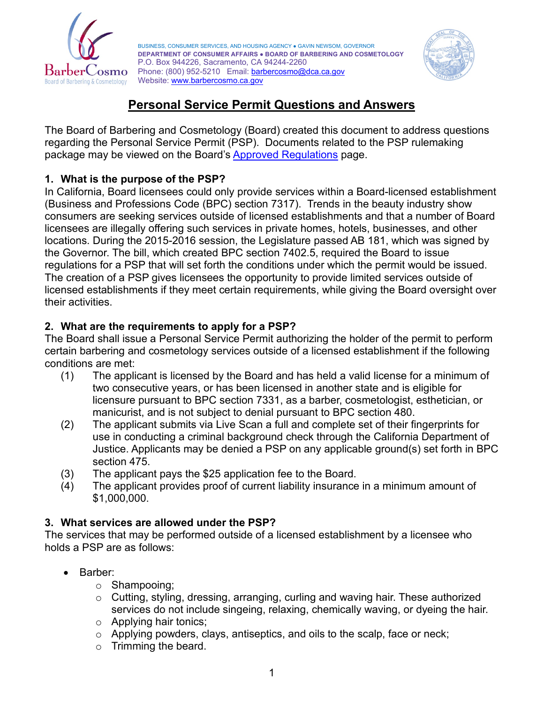

BUSINESS, CONSUMER SERVICES, AND HOUSING AGENCY ● GAVIN NEWSOM, GOVERNOR **DEPARTMENT OF CONSUMER AFFAIRS ● BOARD OF BARBERING AND COSMETOLOGY** P.O. Box 944226, Sacramento, CA 94244-2260 Phone: (800) 952-5210 Email: **barbercosmo@dca.ca.gov** Website: [www.barbercosmo.ca.gov](http://www.barbercosmo.ca.gov/)



# **Personal Service Permit Questions and Answers**

The Board of Barbering and Cosmetology (Board) created this document to address questions regarding the Personal Service Permit (PSP). Documents related to the PSP rulemaking package may be viewed on the Board's [Approved Regulations](https://www.barbercosmo.ca.gov/laws_regs/approv_regs.shtml) page.

## **1. What is the purpose of the PSP?**

In California, Board licensees could only provide services within a Board-licensed establishment (Business and Professions Code (BPC) section 7317). Trends in the beauty industry show consumers are seeking services outside of licensed establishments and that a number of Board licensees are illegally offering such services in private homes, hotels, businesses, and other locations. During the 2015-2016 session, the Legislature passed AB 181, which was signed by the Governor. The bill, which created BPC section 7402.5, required the Board to issue regulations for a PSP that will set forth the conditions under which the permit would be issued. The creation of a PSP gives licensees the opportunity to provide limited services outside of licensed establishments if they meet certain requirements, while giving the Board oversight over their activities.

## **2. What are the requirements to apply for a PSP?**

The Board shall issue a Personal Service Permit authorizing the holder of the permit to perform certain barbering and cosmetology services outside of a licensed establishment if the following conditions are met:

- (1) The applicant is licensed by the Board and has held a valid license for a minimum of two consecutive years, or has been licensed in another state and is eligible for licensure pursuant to BPC section 7331, as a barber, cosmetologist, esthetician, or manicurist, and is not subject to denial pursuant to BPC section 480.
- (2) The applicant submits via Live Scan a full and complete set of their fingerprints for use in conducting a criminal background check through the California Department of Justice. Applicants may be denied a PSP on any applicable ground(s) set forth in BPC section 475.
- (3) The applicant pays the \$25 application fee to the Board.
- (4) The applicant provides proof of current liability insurance in a minimum amount of \$1,000,000.

#### **3. What services are allowed under the PSP?**

The services that may be performed outside of a licensed establishment by a licensee who holds a PSP are as follows:

- Barber:
	- o Shampooing;
	- $\circ$  Cutting, styling, dressing, arranging, curling and waving hair. These authorized services do not include singeing, relaxing, chemically waving, or dyeing the hair.
	- o Applying hair tonics;
	- $\circ$  Applying powders, clays, antiseptics, and oils to the scalp, face or neck;
	- o Trimming the beard.